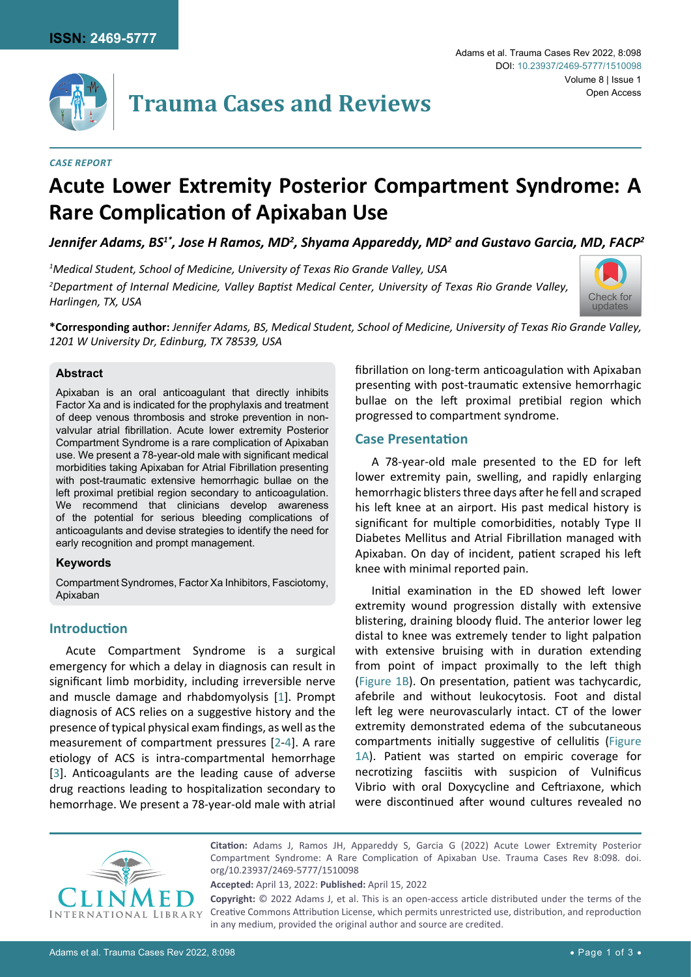

#### *Case Report*

# **Acute Lower Extremity Posterior Compartment Syndrome: A Rare Complication of Apixaban Use**

Jennifer Adams, BS<sup>1\*</sup>, Jose H Ramos, MD<sup>2</sup>, Shyama Appareddy, MD<sup>2</sup> and Gustavo Garcia, MD, FACP<sup>2</sup>

*1 Medical Student, School of Medicine, University of Texas Rio Grande Valley, USA 2 Department of Internal Medicine, Valley Baptist Medical Center, University of Texas Rio Grande Valley, Harlingen, TX, USA*



**\*Corresponding author:** *Jennifer Adams, BS, Medical Student, School of Medicine, University of Texas Rio Grande Valley, 1201 W University Dr, Edinburg, TX 78539, USA*

#### **Abstract**

Apixaban is an oral anticoagulant that directly inhibits Factor Xa and is indicated for the prophylaxis and treatment of deep venous thrombosis and stroke prevention in nonvalvular atrial fibrillation. Acute lower extremity Posterior Compartment Syndrome is a rare complication of Apixaban use. We present a 78-year-old male with significant medical morbidities taking Apixaban for Atrial Fibrillation presenting with post-traumatic extensive hemorrhagic bullae on the left proximal pretibial region secondary to anticoagulation. We recommend that clinicians develop awareness of the potential for serious bleeding complications of anticoagulants and devise strategies to identify the need for early recognition and prompt management.

#### **Keywords**

Compartment Syndromes, Factor Xa Inhibitors, Fasciotomy, Apixaban

### **Introduction**

Acute Compartment Syndrome is a surgical emergency for which a delay in diagnosis can result in significant limb morbidity, including irreversible nerve and muscle damage and rhabdomyolysis [[1](#page-2-0)]. Prompt diagnosis of ACS relies on a suggestive history and the presence of typical physical exam findings, as well as the measurement of compartment pressures [[2](#page-2-1)-[4](#page-2-2)]. A rare etiology of ACS is intra-compartmental hemorrhage [[3](#page-2-3)]. Anticoagulants are the leading cause of adverse drug reactions leading to hospitalization secondary to hemorrhage. We present a 78-year-old male with atrial fibrillation on long-term anticoagulation with Apixaban presenting with post-traumatic extensive hemorrhagic bullae on the left proximal pretibial region which progressed to compartment syndrome.

#### **Case Presentation**

A 78-year-old male presented to the ED for left lower extremity pain, swelling, and rapidly enlarging hemorrhagic blisters three days after he fell and scraped his left knee at an airport. His past medical history is significant for multiple comorbidities, notably Type II Diabetes Mellitus and Atrial Fibrillation managed with Apixaban. On day of incident, patient scraped his left knee with minimal reported pain.

Initial examination in the ED showed left lower extremity wound progression distally with extensive blistering, draining bloody fluid. The anterior lower leg distal to knee was extremely tender to light palpation with extensive bruising with in duration extending from point of impact proximally to the left thigh ([Figure 1B](#page-1-0)). On presentation, patient was tachycardic, afebrile and without leukocytosis. Foot and distal left leg were neurovascularly intact. CT of the lower extremity demonstrated edema of the subcutaneous compartments initially suggestive of cellulitis ([Figure](#page-1-0)  [1A](#page-1-0)). Patient was started on empiric coverage for necrotizing fasciitis with suspicion of Vulnificus Vibrio with oral Doxycycline and Ceftriaxone, which were discontinued after wound cultures revealed no



**Citation:** Adams J, Ramos JH, Appareddy S, Garcia G (2022) Acute Lower Extremity Posterior Compartment Syndrome: A Rare Complication of Apixaban Use. Trauma Cases Rev 8:098. [doi.](https://doi.org/10.23937/2469-5777/1510098) [org/10.23937/2469-5777/1510098](https://doi.org/10.23937/2469-5777/1510098)

**Accepted:** April 13, 2022: **Published:** April 15, 2022

**Copyright:** © 2022 Adams J, et al. This is an open-access article distributed under the terms of the Creative Commons Attribution License, which permits unrestricted use, distribution, and reproduction in any medium, provided the original author and source are credited.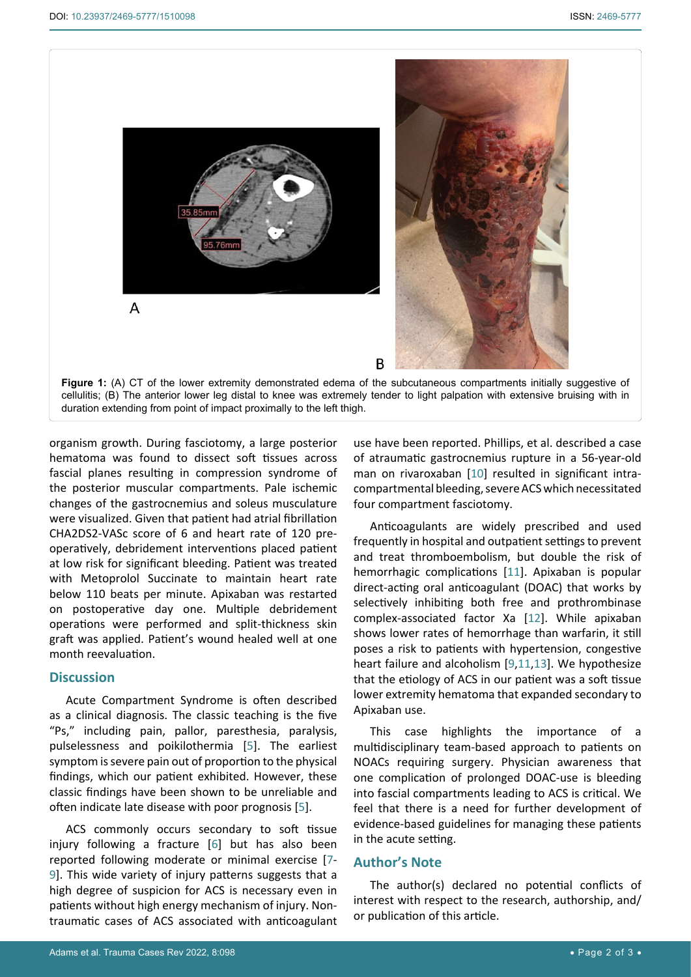<span id="page-1-0"></span>Ī



organism growth. During fasciotomy, a large posterior hematoma was found to dissect soft tissues across fascial planes resulting in compression syndrome of the posterior muscular compartments. Pale ischemic changes of the gastrocnemius and soleus musculature were visualized. Given that patient had atrial fibrillation CHA2DS2-VASc score of 6 and heart rate of 120 preoperatively, debridement interventions placed patient at low risk for significant bleeding. Patient was treated with Metoprolol Succinate to maintain heart rate below 110 beats per minute. Apixaban was restarted on postoperative day one. Multiple debridement operations were performed and split-thickness skin graft was applied. Patient's wound healed well at one month reevaluation.

#### **Discussion**

Acute Compartment Syndrome is often described as a clinical diagnosis. The classic teaching is the five "Ps," including pain, pallor, paresthesia, paralysis, pulselessness and poikilothermia [[5](#page-2-9)]. The earliest symptom is severe pain out of proportion to the physical findings, which our patient exhibited. However, these classic findings have been shown to be unreliable and often indicate late disease with poor prognosis [\[5\]](#page-2-9).

ACS commonly occurs secondary to soft tissue injury following a fracture [\[6\]](#page-2-10) but has also been reported following moderate or minimal exercise [[7](#page-2-11)- [9](#page-2-7)]. This wide variety of injury patterns suggests that a high degree of suspicion for ACS is necessary even in patients without high energy mechanism of injury. Nontraumatic cases of ACS associated with anticoagulant

use have been reported. Phillips, et al. described a case of atraumatic gastrocnemius rupture in a 56-year-old man on rivaroxaban [[10](#page-2-4)] resulted in significant intracompartmental bleeding, severe ACS which necessitated four compartment fasciotomy.

Anticoagulants are widely prescribed and used frequently in hospital and outpatient settings to prevent and treat [thromboembolism](https://www.sciencedirect.com/topics/medicine-and-dentistry/thromboembolism), but double the risk of hemorrhagic complications [[11](#page-2-5)]. Apixaban is popular direct-acting oral anticoagulant (DOAC) that works by selectively inhibiting both free and prothrombinase complex-associated factor Xa [[12](#page-2-6)]. While apixaban shows lower rates of hemorrhage than warfarin, it still poses a risk to patients with hypertension, [congestive](https://www.sciencedirect.com/topics/medicine-and-dentistry/congestive-heart-failure)  [heart failure](https://www.sciencedirect.com/topics/medicine-and-dentistry/congestive-heart-failure) and alcoholism [[9](#page-2-7)[,11](#page-2-5),[13](#page-2-8)]. We hypothesize that the etiology of ACS in our patient was a soft tissue lower extremity hematoma that expanded secondary to Apixaban use.

This case highlights the importance of a multidisciplinary team-based approach to patients on NOACs requiring surgery. Physician awareness that one complication of prolonged DOAC-use is bleeding into fascial compartments leading to ACS is critical. We feel that there is a need for further development of evidence-based guidelines for managing these patients in the acute setting.

### **Author's Note**

The author(s) declared no potential conflicts of interest with respect to the research, authorship, and/ or publication of this article.